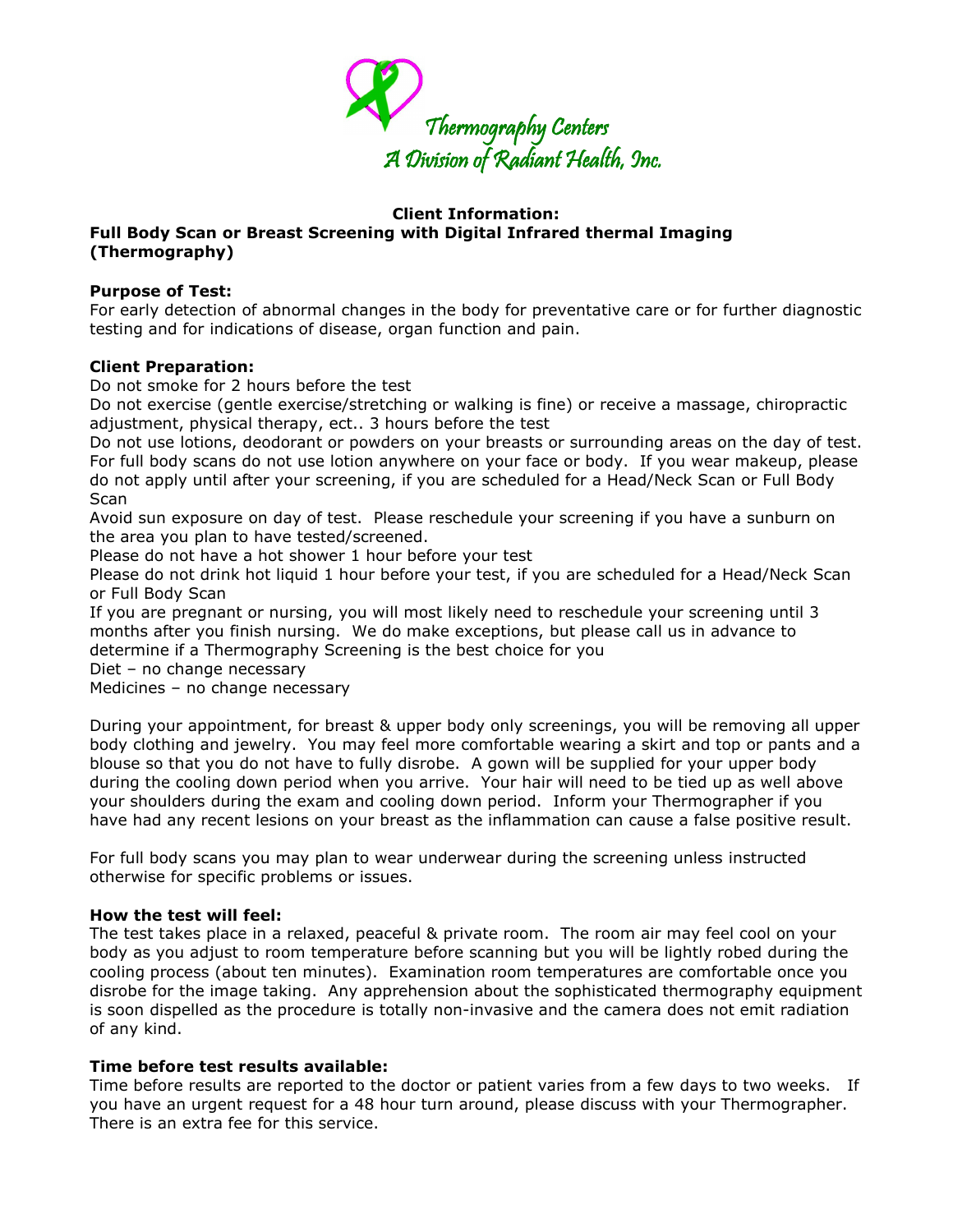

## **Client Information:**

# **Full Body Scan or Breast Screening with Digital Infrared thermal Imaging (Thermography)**

## **Purpose of Test:**

For early detection of abnormal changes in the body for preventative care or for further diagnostic testing and for indications of disease, organ function and pain.

## **Client Preparation:**

Do not smoke for 2 hours before the test

Do not exercise (gentle exercise/stretching or walking is fine) or receive a massage, chiropractic adjustment, physical therapy, ect.. 3 hours before the test

Do not use lotions, deodorant or powders on your breasts or surrounding areas on the day of test. For full body scans do not use lotion anywhere on your face or body. If you wear makeup, please do not apply until after your screening, if you are scheduled for a Head/Neck Scan or Full Body **Scan** 

Avoid sun exposure on day of test. Please reschedule your screening if you have a sunburn on the area you plan to have tested/screened.

Please do not have a hot shower 1 hour before your test

Please do not drink hot liquid 1 hour before your test, if you are scheduled for a Head/Neck Scan or Full Body Scan

If you are pregnant or nursing, you will most likely need to reschedule your screening until 3 months after you finish nursing. We do make exceptions, but please call us in advance to determine if a Thermography Screening is the best choice for you

Diet – no change necessary

Medicines – no change necessary

During your appointment, for breast & upper body only screenings, you will be removing all upper body clothing and jewelry. You may feel more comfortable wearing a skirt and top or pants and a blouse so that you do not have to fully disrobe. A gown will be supplied for your upper body during the cooling down period when you arrive. Your hair will need to be tied up as well above your shoulders during the exam and cooling down period. Inform your Thermographer if you have had any recent lesions on your breast as the inflammation can cause a false positive result.

For full body scans you may plan to wear underwear during the screening unless instructed otherwise for specific problems or issues.

## **How the test will feel:**

The test takes place in a relaxed, peaceful & private room. The room air may feel cool on your body as you adjust to room temperature before scanning but you will be lightly robed during the cooling process (about ten minutes). Examination room temperatures are comfortable once you disrobe for the image taking. Any apprehension about the sophisticated thermography equipment is soon dispelled as the procedure is totally non-invasive and the camera does not emit radiation of any kind.

## **Time before test results available:**

Time before results are reported to the doctor or patient varies from a few days to two weeks. If you have an urgent request for a 48 hour turn around, please discuss with your Thermographer. There is an extra fee for this service.